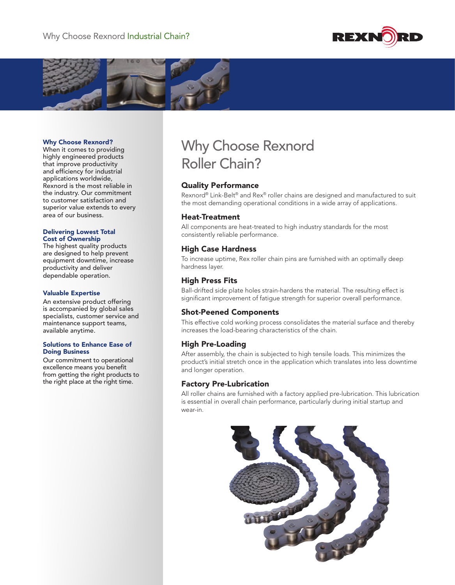



## Why Choose Rexnord?

When it comes to providing highly engineered products that improve productivity and efficiency for industrial applications worldwide, Rexnord is the most reliable in the industry. Our commitment to customer satisfaction and superior value extends to every area of our business.

#### Delivering Lowest Total Cost of Ownership

The highest quality products are designed to help prevent equipment downtime, increase productivity and deliver dependable operation.

## Valuable Expertise

An extensive product offering is accompanied by global sales specialists, customer service and maintenance support teams, available anytime.

## Solutions to Enhance Ease of Doing Business

Our commitment to operational excellence means you benefit from getting the right products to the right place at the right time.

# Why Choose Rexnord Roller Chain?

# Quality Performance

Rexnord® Link-Belt® and Rex® roller chains are designed and manufactured to suit the most demanding operational conditions in a wide array of applications.

# Heat-Treatment

All components are heat-treated to high industry standards for the most consistently reliable performance.

# High Case Hardness

To increase uptime, Rex roller chain pins are furnished with an optimally deep hardness layer.

# High Press Fits

Ball-drifted side plate holes strain-hardens the material. The resulting effect is significant improvement of fatigue strength for superior overall performance.

# Shot-Peened Components

This effective cold working process consolidates the material surface and thereby increases the load-bearing characteristics of the chain.

# High Pre-Loading

After assembly, the chain is subjected to high tensile loads. This minimizes the product's initial stretch once in the application which translates into less downtime and longer operation.

# Factory Pre-Lubrication

All roller chains are furnished with a factory applied pre-lubrication. This lubrication is essential in overall chain performance, particularly during initial startup and wear-in.